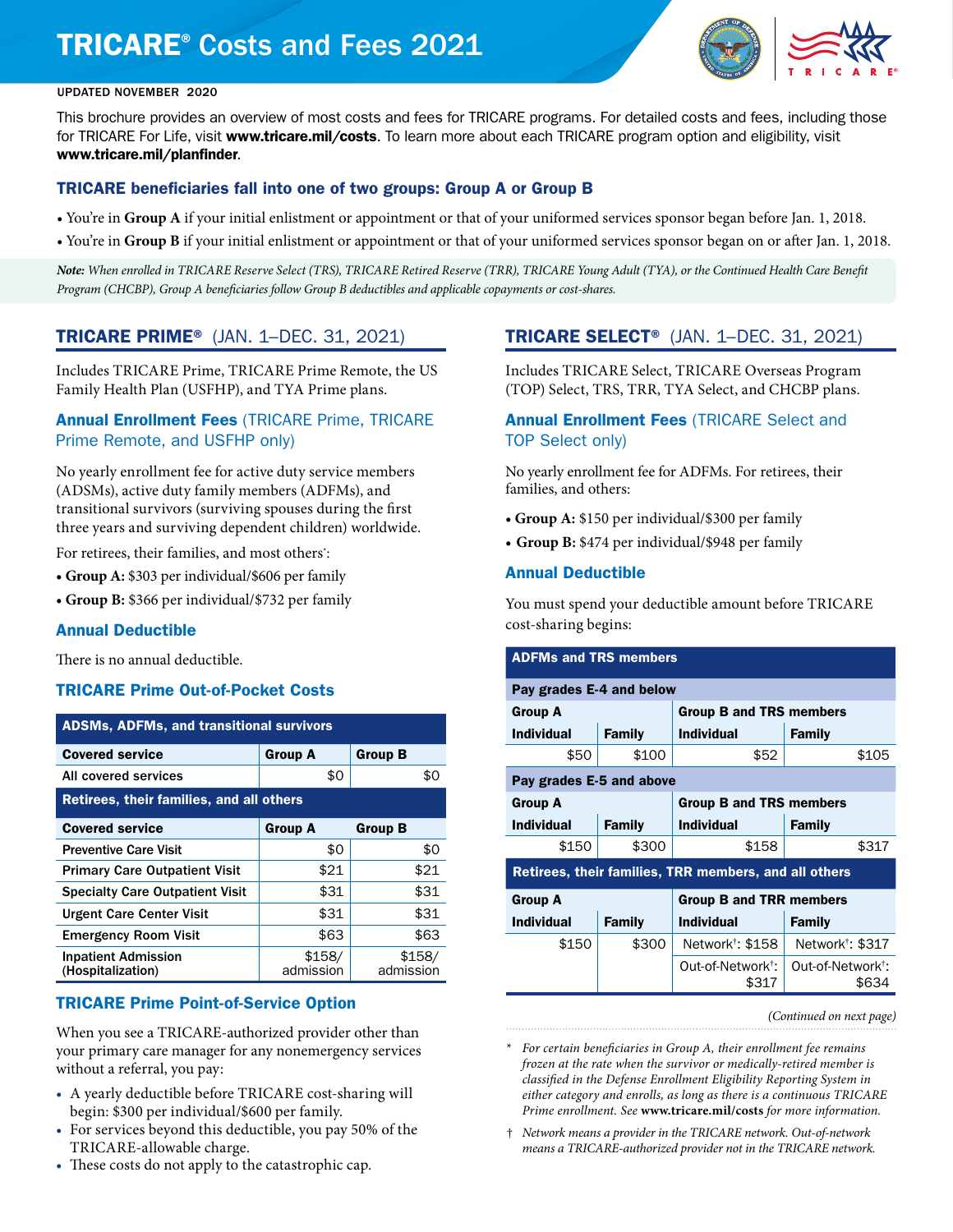# TRICARE® Costs and Fees 2021



#### UPDATED NOVEMBER 2020

This brochure provides an overview of most costs and fees for TRICARE programs. For detailed costs and fees, including those for TRICARE For Life, visit [www.tricare.mil/costs](http://www.tricare.mil/costs). To learn more about each TRICARE program option and eligibility, visit [www.tricare.mil/planfinder](http://www.tricare.mil/planfinder).

#### TRICARE beneficiaries fall into one of two groups: Group A or Group B

- You're in **Group A** if your initial enlistment or appointment or that of your uniformed services sponsor began before Jan. 1, 2018.
- You're in **Group B** if your initial enlistment or appointment or that of your uniformed services sponsor began on or after Jan. 1, 2018.

*Note: When enrolled in TRICARE Reserve Select (TRS), TRICARE Retired Reserve (TRR), TRICARE Young Adult (TYA), or the Continued Health Care Benefit Program (CHCBP), Group A beneficiaries follow Group B deductibles and applicable copayments or cost-shares.* 

# TRICARE PRIME® (JAN. 1–DEC. 31, 2021)

Includes TRICARE Prime, TRICARE Prime Remote, the US Family Health Plan (USFHP), and TYA Prime plans.

### Annual Enrollment Fees (TRICARE Prime, TRICARE Prime Remote, and USFHP only)

No yearly enrollment fee for active duty service members (ADSMs), active duty family members (ADFMs), and transitional survivors (surviving spouses during the first three years and surviving dependent children) worldwide.

For retirees, their families, and most others\* :

- **• Group A:** \$303 per individual/\$606 per family
- **• Group B:** \$366 per individual/\$732 per family

#### Annual Deductible

There is no annual deductible.

#### TRICARE Prime Out-of-Pocket Costs

| <b>ADSMs, ADFMs, and transitional survivors</b> |                     |                     |
|-------------------------------------------------|---------------------|---------------------|
| <b>Covered service</b>                          | <b>Group A</b>      | <b>Group B</b>      |
| All covered services                            | \$0                 | \$0                 |
| Retirees, their families, and all others        |                     |                     |
| <b>Covered service</b>                          | <b>Group A</b>      | <b>Group B</b>      |
| <b>Preventive Care Visit</b>                    | \$0                 | \$0                 |
| <b>Primary Care Outpatient Visit</b>            | \$21                | \$21                |
| <b>Specialty Care Outpatient Visit</b>          | \$31                | \$31                |
| <b>Urgent Care Center Visit</b>                 | \$31                | \$31                |
| <b>Emergency Room Visit</b>                     | \$63                | \$63                |
| <b>Inpatient Admission</b><br>(Hospitalization) | \$158/<br>admission | \$158/<br>admission |

#### TRICARE Prime Point-of-Service Option

When you see a TRICARE-authorized provider other than your primary care manager for any nonemergency services without a referral, you pay:

- A yearly deductible before TRICARE cost-sharing will begin: \$300 per individual/\$600 per family.
- For services beyond this deductible, you pay 50% of the TRICARE-allowable charge.
- These costs do not apply to the catastrophic cap.

# TRICARE SELECT® (JAN. 1–DEC. 31, 2021)

Includes TRICARE Select, TRICARE Overseas Program (TOP) Select, TRS, TRR, TYA Select, and CHCBP plans.

# Annual Enrollment Fees (TRICARE Select and TOP Select only)

No yearly enrollment fee for ADFMs. For retirees, their families, and others:

- **• Group A:** \$150 per individual/\$300 per family
- **• Group B:** \$474 per individual/\$948 per family

#### Annual Deductible

You must spend your deductible amount before TRICARE cost-sharing begins:

| <b>ADFMs and TRS members</b> |                          |                                                       |                                        |
|------------------------------|--------------------------|-------------------------------------------------------|----------------------------------------|
| Pay grades E-4 and below     |                          |                                                       |                                        |
| <b>Group A</b>               |                          | <b>Group B and TRS members</b>                        |                                        |
| <b>Individual</b>            | <b>Family</b>            | <b>Individual</b>                                     | Family                                 |
| \$50                         | \$100                    | \$52                                                  | \$105                                  |
|                              | Pay grades E-5 and above |                                                       |                                        |
| <b>Group A</b>               |                          | <b>Group B and TRS members</b>                        |                                        |
| <b>Individual</b>            | <b>Family</b>            | <b>Individual</b>                                     | Family                                 |
| \$150                        | \$300                    | \$158                                                 | \$317                                  |
|                              |                          | Retirees, their families, TRR members, and all others |                                        |
| <b>Group A</b>               |                          | <b>Group B and TRR members</b>                        |                                        |
| <b>Individual</b>            | <b>Family</b>            | <b>Individual</b>                                     | Family                                 |
| \$150                        | \$300                    | Network <sup>†</sup> : \$158                          | Network <sup>†</sup> : \$317           |
|                              |                          | Out-of-Network <sup>†</sup> :<br>\$317                | Out-of-Network <sup>t</sup> :<br>\$634 |

*(Continued on next page)*

- \* *For certain beneficiaries in Group A, their enrollment fee remains frozen at the rate when the survivor or medically-retired member is classified in the Defense Enrollment Eligibility Reporting System in either category and enrolls, as long as there is a continuous TRICARE Prime enrollment. See* **[www.tricare.mil/costs](http://www.tricare.mil/costs)** *for more information.*
- † *Network means a provider in the TRICARE network. Out-of-network means a TRICARE-authorized provider not in the TRICARE network.*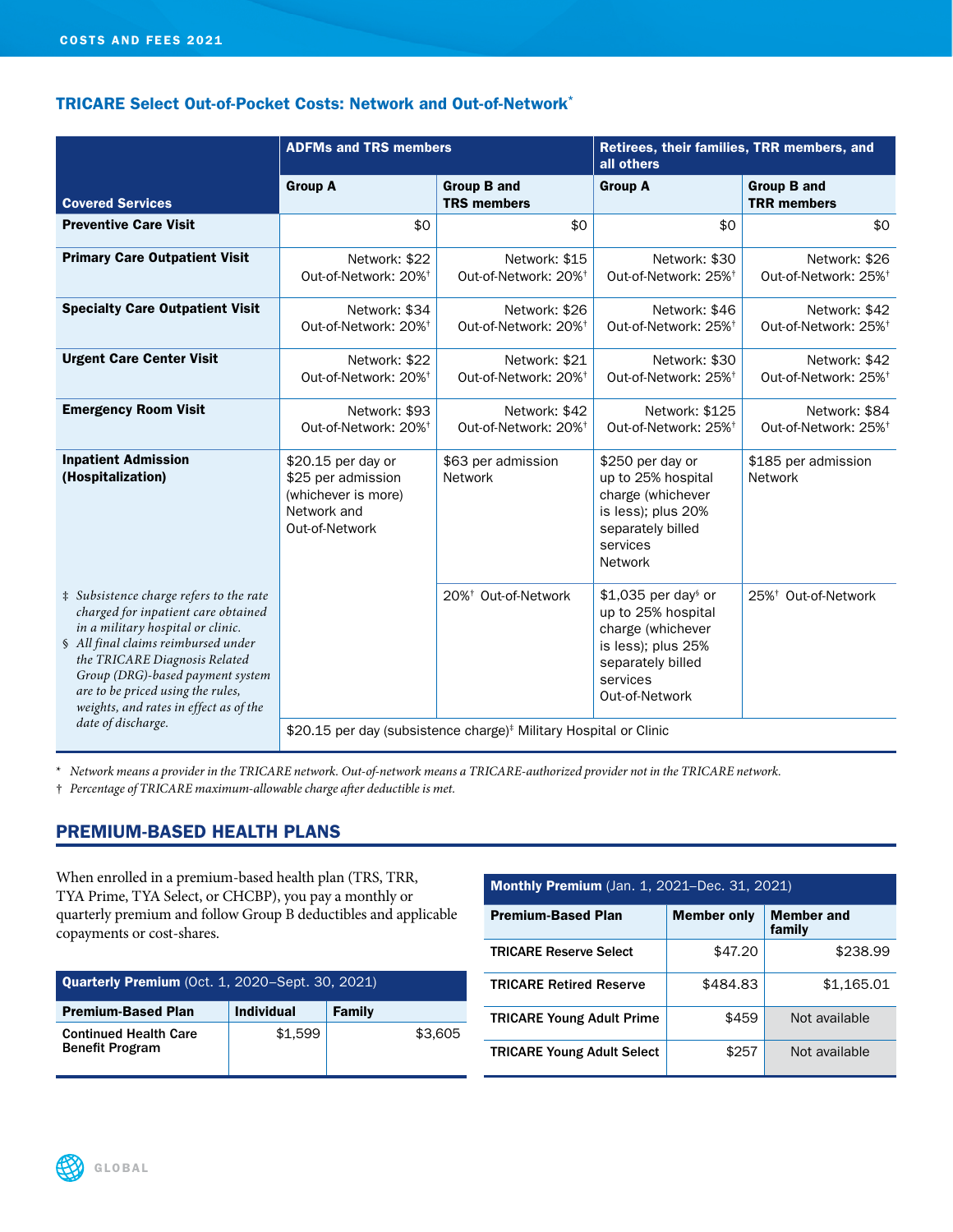# TRICARE Select Out-of-Pocket Costs: Network and Out-of-Network\*

|                                                                                                                                                                                                                                                                                                                                      | <b>ADFMs and TRS members</b>                                                                     |                                                   | Retirees, their families, TRR members, and<br>all others                                                                                |                                                   |
|--------------------------------------------------------------------------------------------------------------------------------------------------------------------------------------------------------------------------------------------------------------------------------------------------------------------------------------|--------------------------------------------------------------------------------------------------|---------------------------------------------------|-----------------------------------------------------------------------------------------------------------------------------------------|---------------------------------------------------|
| <b>Covered Services</b>                                                                                                                                                                                                                                                                                                              | <b>Group A</b>                                                                                   | <b>Group B and</b><br><b>TRS members</b>          | <b>Group A</b>                                                                                                                          | <b>Group B and</b><br><b>TRR</b> members          |
| <b>Preventive Care Visit</b>                                                                                                                                                                                                                                                                                                         | \$0                                                                                              | \$0                                               | \$0                                                                                                                                     | \$0                                               |
| <b>Primary Care Outpatient Visit</b>                                                                                                                                                                                                                                                                                                 | Network: \$22<br>Out-of-Network: 20% <sup>+</sup>                                                | Network: \$15<br>Out-of-Network: 20% <sup>+</sup> | Network: \$30<br>Out-of-Network: 25% <sup>†</sup>                                                                                       | Network: \$26<br>Out-of-Network: 25% <sup>+</sup> |
| <b>Specialty Care Outpatient Visit</b>                                                                                                                                                                                                                                                                                               | Network: \$34<br>Out-of-Network: 20% <sup>+</sup>                                                | Network: \$26<br>Out-of-Network: 20% <sup>+</sup> | Network: \$46<br>Out-of-Network: 25% <sup>†</sup>                                                                                       | Network: \$42<br>Out-of-Network: 25% <sup>+</sup> |
| <b>Urgent Care Center Visit</b>                                                                                                                                                                                                                                                                                                      | Network: \$22<br>Out-of-Network: 20% <sup>+</sup>                                                | Network: \$21<br>Out-of-Network: 20% <sup>+</sup> | Network: \$30<br>Out-of-Network: 25% <sup>+</sup>                                                                                       | Network: \$42<br>Out-of-Network: 25% <sup>+</sup> |
| <b>Emergency Room Visit</b>                                                                                                                                                                                                                                                                                                          | Network: \$93<br>Out-of-Network: 20% <sup>+</sup>                                                | Network: \$42<br>Out-of-Network: 20% <sup>+</sup> | Network: \$125<br>Out-of-Network: 25% <sup>+</sup>                                                                                      | Network: \$84<br>Out-of-Network: 25% <sup>+</sup> |
| <b>Inpatient Admission</b><br>(Hospitalization)                                                                                                                                                                                                                                                                                      | \$20.15 per day or<br>\$25 per admission<br>(whichever is more)<br>Network and<br>Out-of-Network | \$63 per admission<br><b>Network</b>              | \$250 per day or<br>up to 25% hospital<br>charge (whichever<br>is less); plus 20%<br>separately billed<br>services<br><b>Network</b>    | \$185 per admission<br><b>Network</b>             |
| # Subsistence charge refers to the rate<br>charged for inpatient care obtained<br>in a military hospital or clinic.<br>§ All final claims reimbursed under<br>the TRICARE Diagnosis Related<br>Group (DRG)-based payment system<br>are to be priced using the rules,<br>weights, and rates in effect as of the<br>date of discharge. |                                                                                                  | 20% <sup>†</sup> Out-of-Network                   | $$1,035$ per day or<br>up to 25% hospital<br>charge (whichever<br>is less); plus 25%<br>separately billed<br>services<br>Out-of-Network | 25% <sup>†</sup> Out-of-Network                   |
|                                                                                                                                                                                                                                                                                                                                      | \$20.15 per day (subsistence charge) <sup>#</sup> Military Hospital or Clinic                    |                                                   |                                                                                                                                         |                                                   |

\* *Network means a provider in the TRICARE network. Out-of-network means a TRICARE-authorized provider not in the TRICARE network.*

† *Percentage of TRICARE maximum-allowable charge after deductible is met.* 

# PREMIUM-BASED HEALTH PLANS

When enrolled in a premium-based health plan (TRS, TRR, TYA Prime, TYA Select, or CHCBP), you pay a monthly or quarterly premium and follow Group B deductibles and applicable copayments or cost-shares.

| <b>Quarterly Premium</b> (Oct. 1, 2020–Sept. 30, 2021) |                   |         |
|--------------------------------------------------------|-------------------|---------|
| <b>Premium-Based Plan</b>                              | <b>Individual</b> | Family  |
| <b>Continued Health Care</b><br><b>Benefit Program</b> | \$1,599           | \$3,605 |

| <b>Monthly Premium</b> (Jan. 1, 2021–Dec. 31, 2021) |                    |                             |
|-----------------------------------------------------|--------------------|-----------------------------|
| <b>Premium-Based Plan</b>                           | <b>Member only</b> | <b>Member</b> and<br>family |
| <b>TRICARE Reserve Select</b>                       | \$47.20            | \$238.99                    |
| <b>TRICARE Retired Reserve</b>                      | \$484.83           | \$1,165.01                  |
| <b>TRICARE Young Adult Prime</b>                    | \$459              | Not available               |
| <b>TRICARE Young Adult Select</b>                   | \$257              | Not available               |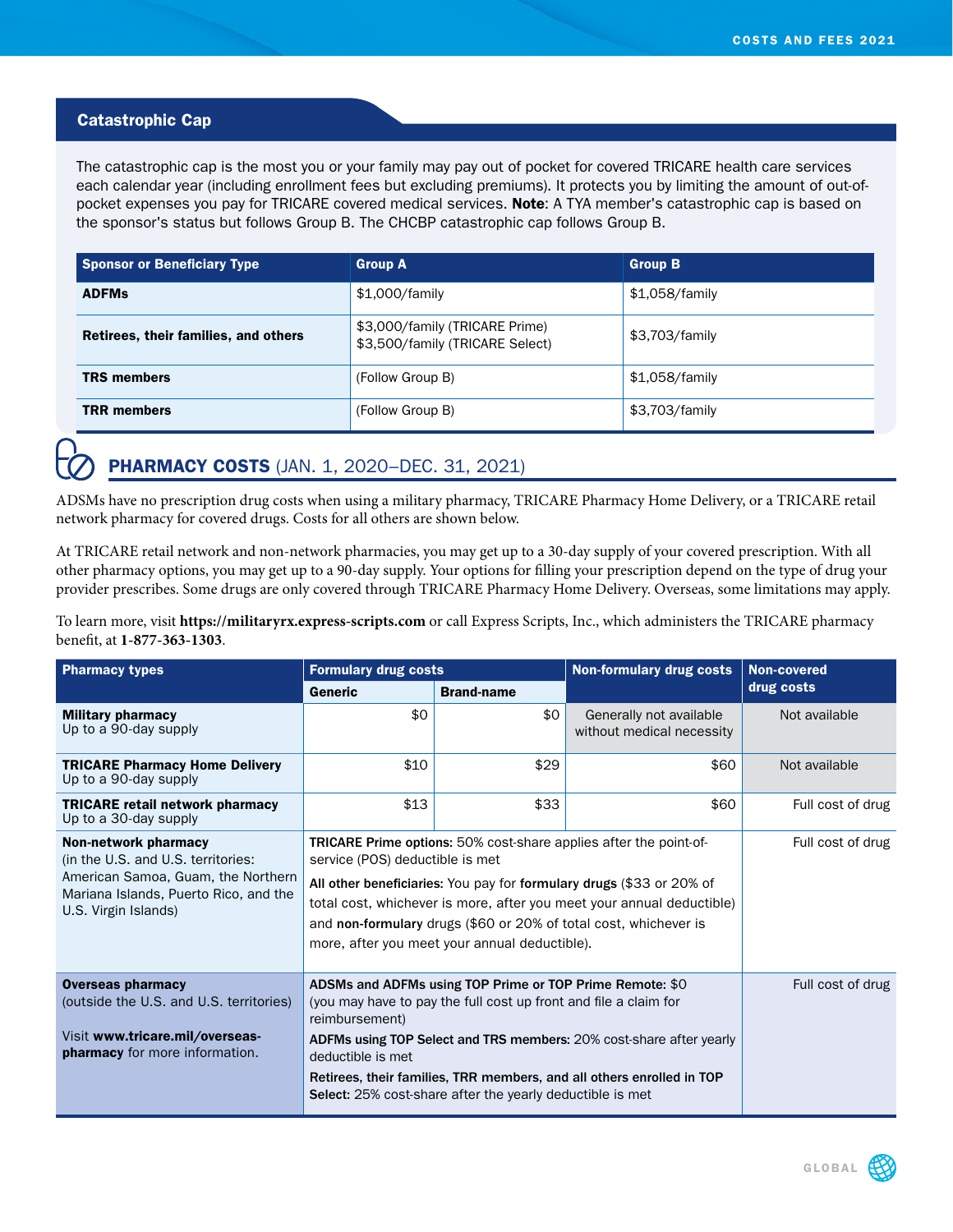## Catastrophic Cap

The catastrophic cap is the most you or your family may pay out of pocket for covered TRICARE health care services each calendar year (including enrollment fees but excluding premiums). It protects you by limiting the amount of out-ofpocket expenses you pay for TRICARE covered medical services. Note: A TYA member's catastrophic cap is based on the sponsor's status but follows Group B. The CHCBP catastrophic cap follows Group B.

| <b>Sponsor or Beneficiary Type</b>   | <b>Group A</b>                                                    | <b>Group B</b> |
|--------------------------------------|-------------------------------------------------------------------|----------------|
| <b>ADFMs</b>                         | \$1,000/family                                                    | \$1,058/family |
| Retirees, their families, and others | \$3,000/family (TRICARE Prime)<br>\$3,500/family (TRICARE Select) | \$3,703/family |
| <b>TRS members</b>                   | (Follow Group B)                                                  | \$1,058/family |
| <b>TRR members</b>                   | (Follow Group B)                                                  | \$3,703/family |

# **PHARMACY COSTS** (JAN. 1, 2020-DEC. 31, 2021)

ADSMs have no prescription drug costs when using a military pharmacy, TRICARE Pharmacy Home Delivery, or a TRICARE retail network pharmacy for covered drugs. Costs for all others are shown below.

At TRICARE retail network and non-network pharmacies, you may get up to a 30-day supply of your covered prescription. With all other pharmacy options, you may get up to a 90-day supply. Your options for filling your prescription depend on the type of drug your provider prescribes. Some drugs are only covered through TRICARE Pharmacy Home Delivery. Overseas, some limitations may apply.

To learn more, visit **<https://militaryrx.express-scripts.com>** or call Express Scripts, Inc., which administers the TRICARE pharmacy benefit, at **1-877-363-1303**.

| <b>Pharmacy types</b>                                                                                                                                             | <b>Formulary drug costs</b>                                                                                                                                                                                                                                                                                                                                                             |                   | <b>Non-formulary drug costs</b>                      | <b>Non-covered</b> |
|-------------------------------------------------------------------------------------------------------------------------------------------------------------------|-----------------------------------------------------------------------------------------------------------------------------------------------------------------------------------------------------------------------------------------------------------------------------------------------------------------------------------------------------------------------------------------|-------------------|------------------------------------------------------|--------------------|
|                                                                                                                                                                   | <b>Generic</b>                                                                                                                                                                                                                                                                                                                                                                          | <b>Brand-name</b> |                                                      | drug costs         |
| <b>Military pharmacy</b><br>Up to a 90-day supply                                                                                                                 | \$0                                                                                                                                                                                                                                                                                                                                                                                     | \$0               | Generally not available<br>without medical necessity | Not available      |
| <b>TRICARE Pharmacy Home Delivery</b><br>Up to a 90-day supply                                                                                                    | \$10                                                                                                                                                                                                                                                                                                                                                                                    | \$29              | \$60                                                 | Not available      |
| <b>TRICARE retail network pharmacy</b><br>Up to a 30-day supply                                                                                                   | \$13                                                                                                                                                                                                                                                                                                                                                                                    | \$33              | \$60                                                 | Full cost of drug  |
| Non-network pharmacy<br>(in the U.S. and U.S. territories:<br>American Samoa, Guam, the Northern<br>Mariana Islands, Puerto Rico, and the<br>U.S. Virgin Islands) | TRICARE Prime options: 50% cost-share applies after the point-of-<br>service (POS) deductible is met<br>All other beneficiaries: You pay for formulary drugs (\$33 or 20% of<br>total cost, whichever is more, after you meet your annual deductible)<br>and non-formulary drugs (\$60 or 20% of total cost, whichever is<br>more, after you meet your annual deductible).              |                   | Full cost of drug                                    |                    |
| <b>Overseas pharmacy</b><br>(outside the U.S. and U.S. territories)<br>Visit www.tricare.mil/overseas-<br><b>pharmacy</b> for more information.                   | ADSMs and ADFMs using TOP Prime or TOP Prime Remote: \$0<br>(you may have to pay the full cost up front and file a claim for<br>reimbursement)<br>ADFMs using TOP Select and TRS members: 20% cost-share after yearly<br>deductible is met<br>Retirees, their families, TRR members, and all others enrolled in TOP<br><b>Select:</b> 25% cost-share after the yearly deductible is met |                   | Full cost of drug                                    |                    |